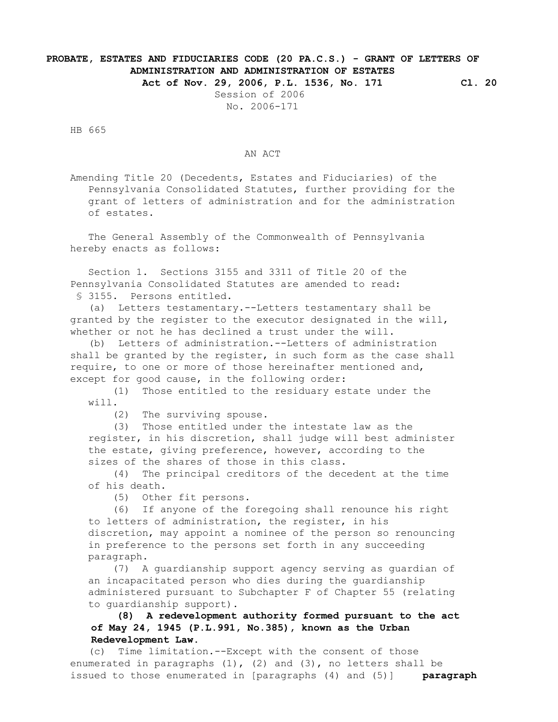## **PROBATE, ESTATES AND FIDUCIARIES CODE (20 PA.C.S.) - GRANT OF LETTERS OF ADMINISTRATION AND ADMINISTRATION OF ESTATES**

 **Act of Nov. 29, 2006, P.L. 1536, No. 171 Cl. 20**

 Session of 2006 No. 2006-171

HB 665

## AN ACT

 Amending Title 20 (Decedents, Estates and Fiduciaries) of the Pennsylvania Consolidated Statutes, further providing for the grant of letters of administration and for the administration of estates.

 The General Assembly of the Commonwealth of Pennsylvania hereby enacts as follows:

 Section 1. Sections 3155 and 3311 of Title 20 of the Pennsylvania Consolidated Statutes are amended to read: § 3155. Persons entitled.

 (a) Letters testamentary.--Letters testamentary shall be granted by the register to the executor designated in the will, whether or not he has declined a trust under the will.

 (b) Letters of administration.--Letters of administration shall be granted by the register, in such form as the case shall require, to one or more of those hereinafter mentioned and, except for good cause, in the following order:

 (1) Those entitled to the residuary estate under the will.

(2) The surviving spouse.

 (3) Those entitled under the intestate law as the register, in his discretion, shall judge will best administer the estate, giving preference, however, according to the sizes of the shares of those in this class.

 (4) The principal creditors of the decedent at the time of his death.

(5) Other fit persons.

 (6) If anyone of the foregoing shall renounce his right to letters of administration, the register, in his discretion, may appoint a nominee of the person so renouncing in preference to the persons set forth in any succeeding paragraph.

 (7) A guardianship support agency serving as guardian of an incapacitated person who dies during the guardianship administered pursuant to Subchapter F of Chapter 55 (relating to guardianship support).

## **(8) A redevelopment authority formed pursuant to the act of May 24, 1945 (P.L.991, No.385), known as the Urban Redevelopment Law.**

 (c) Time limitation.--Except with the consent of those enumerated in paragraphs  $(1)$ ,  $(2)$  and  $(3)$ , no letters shall be issued to those enumerated in [paragraphs (4) and (5)] **paragraph**